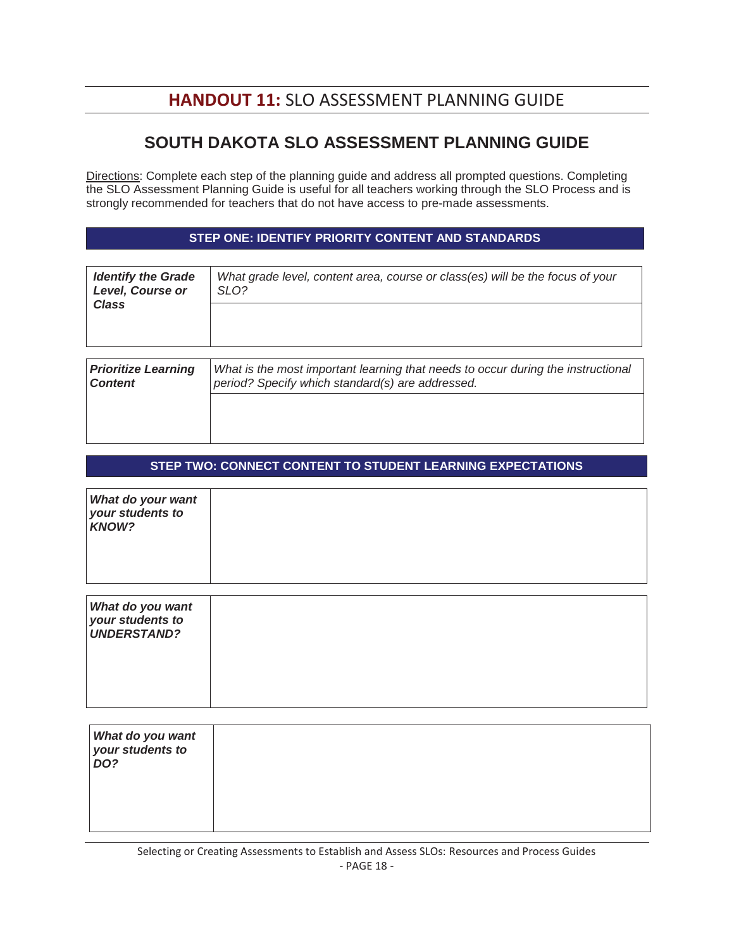# **HANDOUT 11:** SLO ASSESSMENT PLANNING GUIDE

## **SOUTH DAKOTA SLO ASSESSMENT PLANNING GUIDE**

Directions: Complete each step of the planning guide and address all prompted questions. Completing the SLO Assessment Planning Guide is useful for all teachers working through the SLO Process and is strongly recommended for teachers that do not have access to pre-made assessments.

#### **STEP ONE: IDENTIFY PRIORITY CONTENT AND STANDARDS**

| <b>Identify the Grade</b><br><b>Level, Course or</b><br><b>Class</b> | What grade level, content area, course or class(es) will be the focus of your<br>SLO?                                                |
|----------------------------------------------------------------------|--------------------------------------------------------------------------------------------------------------------------------------|
|                                                                      |                                                                                                                                      |
|                                                                      |                                                                                                                                      |
| <b>Prioritize Learning</b><br><b>Content</b>                         | What is the most important learning that needs to occur during the instructional<br>period? Specify which standard(s) are addressed. |
|                                                                      |                                                                                                                                      |
|                                                                      |                                                                                                                                      |

### **STEP TWO: CONNECT CONTENT TO STUDENT LEARNING EXPECTATIONS**

| What do your want<br>your students to<br><b>KNOW?</b>      |  |
|------------------------------------------------------------|--|
| What do you want<br>your students to<br><b>UNDERSTAND?</b> |  |

| What do you want<br>your students to<br>DO? |  |
|---------------------------------------------|--|
|                                             |  |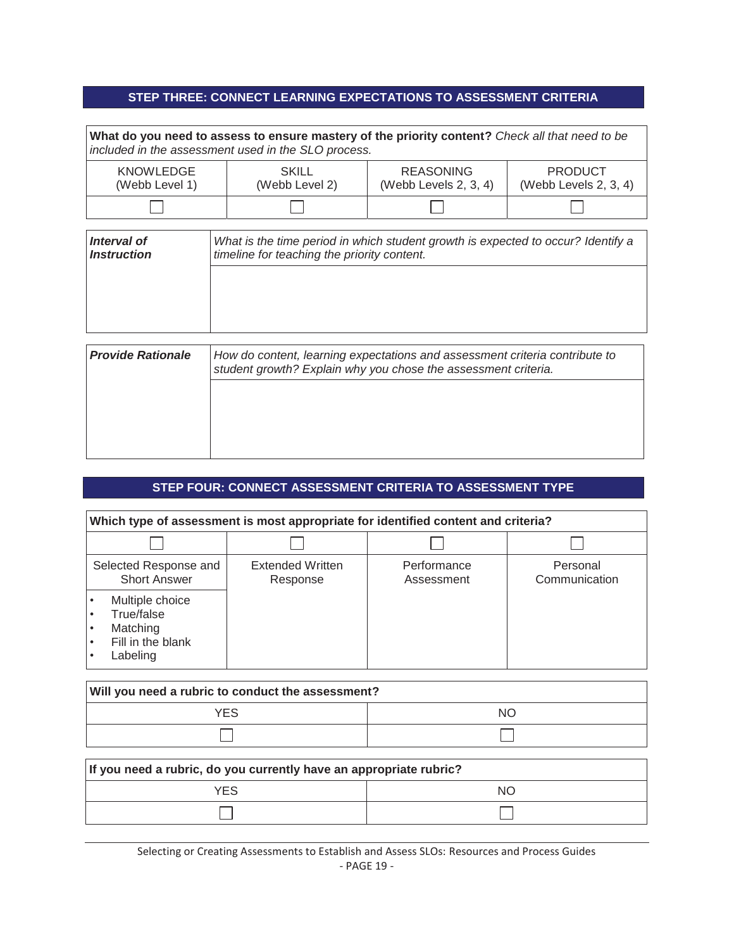### **STEP THREE: CONNECT LEARNING EXPECTATIONS TO ASSESSMENT CRITERIA**

|                                          | included in the assessment used in the SLO process.                                                                             | What do you need to assess to ensure mastery of the priority content? Check all that need to be                                               |                                            |
|------------------------------------------|---------------------------------------------------------------------------------------------------------------------------------|-----------------------------------------------------------------------------------------------------------------------------------------------|--------------------------------------------|
| <b>KNOWLEDGE</b><br>(Webb Level 1)       | <b>SKILL</b><br>(Webb Level 2)                                                                                                  | <b>REASONING</b><br>(Webb Levels $2, 3, 4$ )                                                                                                  | <b>PRODUCT</b><br>(Webb Levels $2, 3, 4$ ) |
|                                          |                                                                                                                                 |                                                                                                                                               |                                            |
| Interval of<br><i><b>Instruction</b></i> | What is the time period in which student growth is expected to occur? Identify a<br>timeline for teaching the priority content. |                                                                                                                                               |                                            |
| <b>Provide Rationale</b>                 |                                                                                                                                 | How do content, learning expectations and assessment criteria contribute to<br>student growth? Explain why you chose the assessment criteria. |                                            |

## **STEP FOUR: CONNECT ASSESSMENT CRITERIA TO ASSESSMENT TYPE**

| Which type of assessment is most appropriate for identified content and criteria? |                                     |                           |                           |
|-----------------------------------------------------------------------------------|-------------------------------------|---------------------------|---------------------------|
|                                                                                   |                                     |                           |                           |
| Selected Response and<br><b>Short Answer</b>                                      | <b>Extended Written</b><br>Response | Performance<br>Assessment | Personal<br>Communication |
| Multiple choice<br>True/false<br>Matching<br>Fill in the blank<br>Labeling        |                                     |                           |                           |

| Will you need a rubric to conduct the assessment? |    |  |
|---------------------------------------------------|----|--|
| YES                                               | NΟ |  |
|                                                   |    |  |

| If you need a rubric, do you currently have an appropriate rubric? |    |  |
|--------------------------------------------------------------------|----|--|
| <b>YFS</b>                                                         | NO |  |
|                                                                    |    |  |

Selecting or Creating Assessments to Establish and Assess SLOs: Resources and Process Guides - PAGE 19 -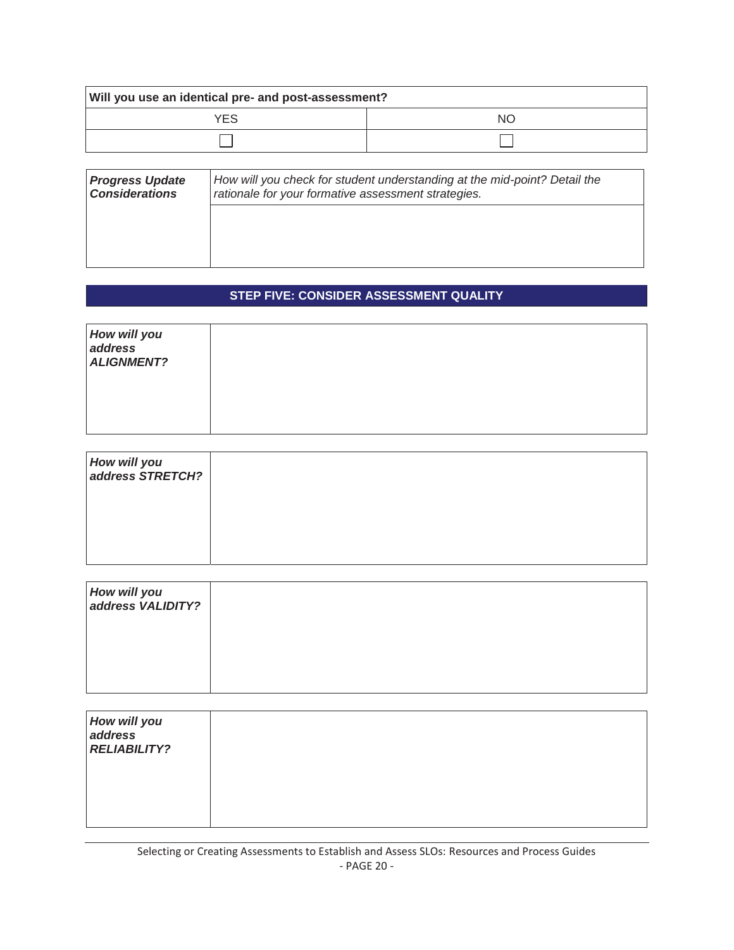| Will you use an identical pre- and post-assessment? |    |  |
|-----------------------------------------------------|----|--|
| <b>YFS</b>                                          | NC |  |
|                                                     |    |  |

| <b>Progress Update</b><br><b>Considerations</b> | How will you check for student understanding at the mid-point? Detail the<br>rationale for your formative assessment strategies. |  |
|-------------------------------------------------|----------------------------------------------------------------------------------------------------------------------------------|--|
|                                                 |                                                                                                                                  |  |
|                                                 |                                                                                                                                  |  |

## **STEP FIVE: CONSIDER ASSESSMENT QUALITY**

| How will you<br><b>ALIGNMENT?</b> |  |
|-----------------------------------|--|
|                                   |  |

| How will you<br>  address STRETCH? |  |
|------------------------------------|--|
|                                    |  |
|                                    |  |

| How will you<br>  address VALIDITY? |  |
|-------------------------------------|--|
|                                     |  |
|                                     |  |

| How will you<br><b>RELIABILITY?</b> |  |
|-------------------------------------|--|
|                                     |  |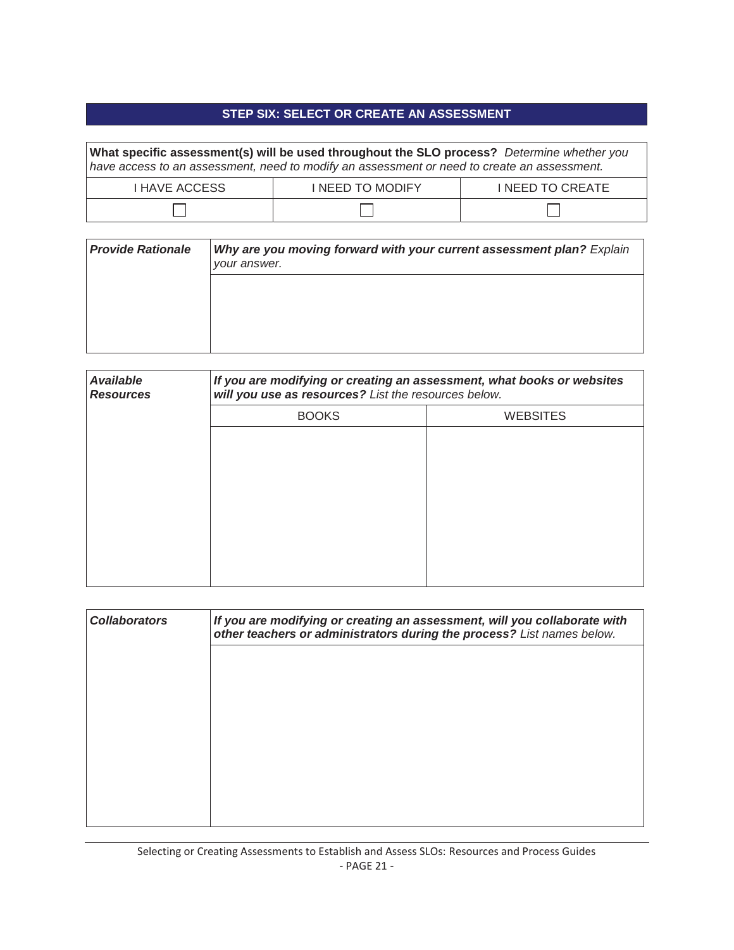## **STEP SIX: SELECT OR CREATE AN ASSESSMENT**

| What specific assessment(s) will be used throughout the SLO process? Determine whether you<br>have access to an assessment, need to modify an assessment or need to create an assessment. |                         |                        |  |  |  |
|-------------------------------------------------------------------------------------------------------------------------------------------------------------------------------------------|-------------------------|------------------------|--|--|--|
| <b>I HAVE ACCESS</b>                                                                                                                                                                      | <b>I NEED TO MODIFY</b> | <b>INEED TO CREATE</b> |  |  |  |
|                                                                                                                                                                                           |                         |                        |  |  |  |

| <b>Provide Rationale</b> | Why are you moving forward with your current assessment plan? Explain<br>your answer. |  |
|--------------------------|---------------------------------------------------------------------------------------|--|
|                          |                                                                                       |  |
|                          |                                                                                       |  |
|                          |                                                                                       |  |

| <b>Available</b><br><b>Resources</b> | If you are modifying or creating an assessment, what books or websites<br>will you use as resources? List the resources below. |                 |  |
|--------------------------------------|--------------------------------------------------------------------------------------------------------------------------------|-----------------|--|
|                                      | <b>BOOKS</b>                                                                                                                   | <b>WEBSITES</b> |  |
|                                      |                                                                                                                                |                 |  |
|                                      |                                                                                                                                |                 |  |
|                                      |                                                                                                                                |                 |  |
|                                      |                                                                                                                                |                 |  |
|                                      |                                                                                                                                |                 |  |
|                                      |                                                                                                                                |                 |  |
|                                      |                                                                                                                                |                 |  |

| <b>Collaborators</b> | If you are modifying or creating an assessment, will you collaborate with<br>other teachers or administrators during the process? List names below. |  |
|----------------------|-----------------------------------------------------------------------------------------------------------------------------------------------------|--|
|                      |                                                                                                                                                     |  |
|                      |                                                                                                                                                     |  |
|                      |                                                                                                                                                     |  |
|                      |                                                                                                                                                     |  |
|                      |                                                                                                                                                     |  |